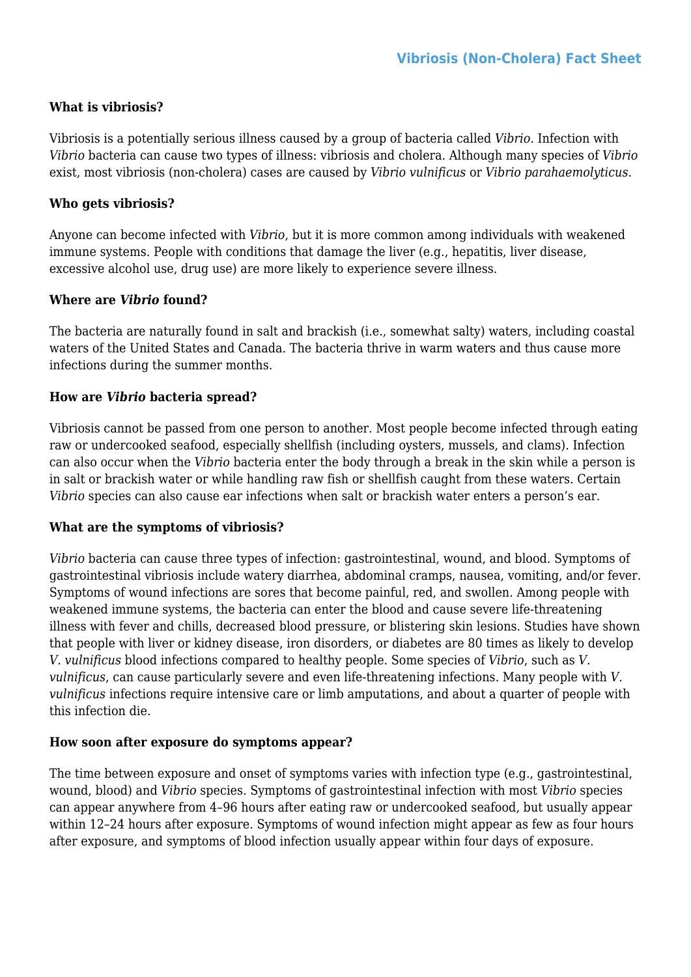### **What is vibriosis?**

Vibriosis is a potentially serious illness caused by a group of bacteria called *Vibrio*. Infection with *Vibrio* bacteria can cause two types of illness: vibriosis and cholera. Although many species of *Vibrio* exist, most vibriosis (non-cholera) cases are caused by *Vibrio vulnificus* or *Vibrio parahaemolyticus*.

#### **Who gets vibriosis?**

Anyone can become infected with *Vibrio*, but it is more common among individuals with weakened immune systems. People with conditions that damage the liver (e.g., hepatitis, liver disease, excessive alcohol use, drug use) are more likely to experience severe illness.

#### **Where are** *Vibrio* **found?**

The bacteria are naturally found in salt and brackish (i.e., somewhat salty) waters, including coastal waters of the United States and Canada. The bacteria thrive in warm waters and thus cause more infections during the summer months.

#### **How are** *Vibrio* **bacteria spread?**

Vibriosis cannot be passed from one person to another. Most people become infected through eating raw or undercooked seafood, especially shellfish (including oysters, mussels, and clams). Infection can also occur when the *Vibrio* bacteria enter the body through a break in the skin while a person is in salt or brackish water or while handling raw fish or shellfish caught from these waters. Certain *Vibrio* species can also cause ear infections when salt or brackish water enters a person's ear.

#### **What are the symptoms of vibriosis?**

*Vibrio* bacteria can cause three types of infection: gastrointestinal, wound, and blood. Symptoms of gastrointestinal vibriosis include watery diarrhea, abdominal cramps, nausea, vomiting, and/or fever. Symptoms of wound infections are sores that become painful, red, and swollen. Among people with weakened immune systems, the bacteria can enter the blood and cause severe life-threatening illness with fever and chills, decreased blood pressure, or blistering skin lesions. Studies have shown that people with liver or kidney disease, iron disorders, or diabetes are 80 times as likely to develop *V. vulnificus* blood infections compared to healthy people. Some species of *Vibrio*, such as *V. vulnificus*, can cause particularly severe and even life-threatening infections. Many people with *V. vulnificus* infections require intensive care or limb amputations, and about a quarter of people with this infection die.

### **How soon after exposure do symptoms appear?**

The time between exposure and onset of symptoms varies with infection type (e.g., gastrointestinal, wound, blood) and *Vibrio* species. Symptoms of gastrointestinal infection with most *Vibrio* species can appear anywhere from 4–96 hours after eating raw or undercooked seafood, but usually appear within 12–24 hours after exposure. Symptoms of wound infection might appear as few as four hours after exposure, and symptoms of blood infection usually appear within four days of exposure.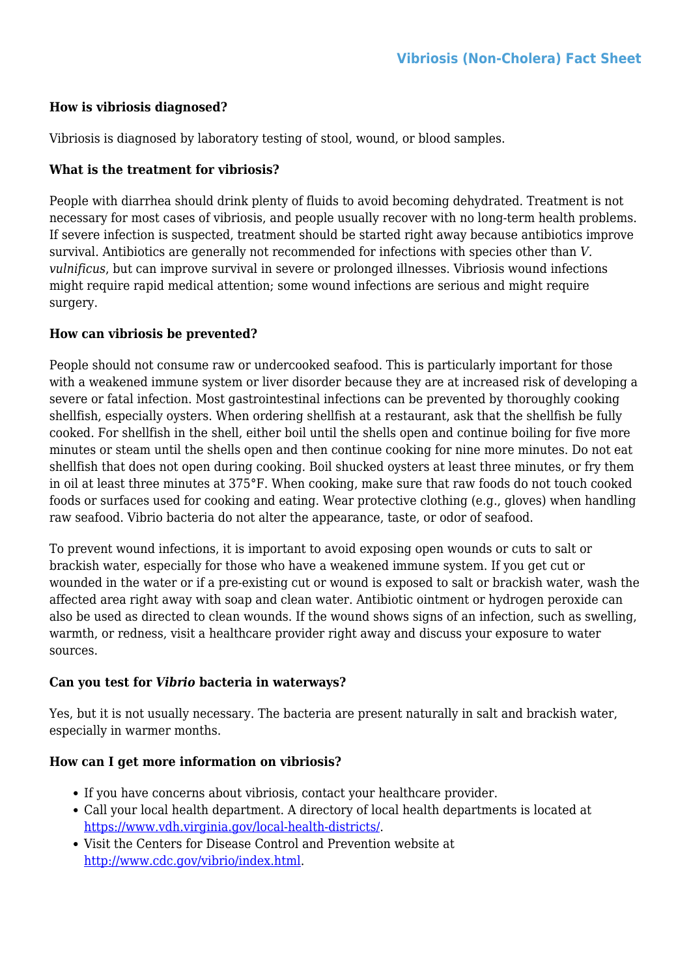# **How is vibriosis diagnosed?**

Vibriosis is diagnosed by laboratory testing of stool, wound, or blood samples.

# **What is the treatment for vibriosis?**

People with diarrhea should drink plenty of fluids to avoid becoming dehydrated. Treatment is not necessary for most cases of vibriosis, and people usually recover with no long-term health problems. If severe infection is suspected, treatment should be started right away because antibiotics improve survival. Antibiotics are generally not recommended for infections with species other than *V. vulnificus*, but can improve survival in severe or prolonged illnesses. Vibriosis wound infections might require rapid medical attention; some wound infections are serious and might require surgery.

## **How can vibriosis be prevented?**

People should not consume raw or undercooked seafood. This is particularly important for those with a weakened immune system or liver disorder because they are at increased risk of developing a severe or fatal infection. Most gastrointestinal infections can be prevented by thoroughly cooking shellfish, especially oysters. When ordering shellfish at a restaurant, ask that the shellfish be fully cooked. For shellfish in the shell, either boil until the shells open and continue boiling for five more minutes or steam until the shells open and then continue cooking for nine more minutes. Do not eat shellfish that does not open during cooking. Boil shucked oysters at least three minutes, or fry them in oil at least three minutes at 375°F. When cooking, make sure that raw foods do not touch cooked foods or surfaces used for cooking and eating. Wear protective clothing (e.g., gloves) when handling raw seafood. Vibrio bacteria do not alter the appearance, taste, or odor of seafood.

To prevent wound infections, it is important to avoid exposing open wounds or cuts to salt or brackish water, especially for those who have a weakened immune system. If you get cut or wounded in the water or if a pre-existing cut or wound is exposed to salt or brackish water, wash the affected area right away with soap and clean water. Antibiotic ointment or hydrogen peroxide can also be used as directed to clean wounds. If the wound shows signs of an infection, such as swelling, warmth, or redness, visit a healthcare provider right away and discuss your exposure to water sources.

### **Can you test for** *Vibrio* **bacteria in waterways?**

Yes, but it is not usually necessary. The bacteria are present naturally in salt and brackish water, especially in warmer months.

# **How can I get more information on vibriosis?**

- If you have concerns about vibriosis, contact your healthcare provider.
- Call your local health department. A directory of local health departments is located at <https://www.vdh.virginia.gov/local-health-districts/>.
- Visit the Centers for Disease Control and Prevention website at <http://www.cdc.gov/vibrio/index.html>.